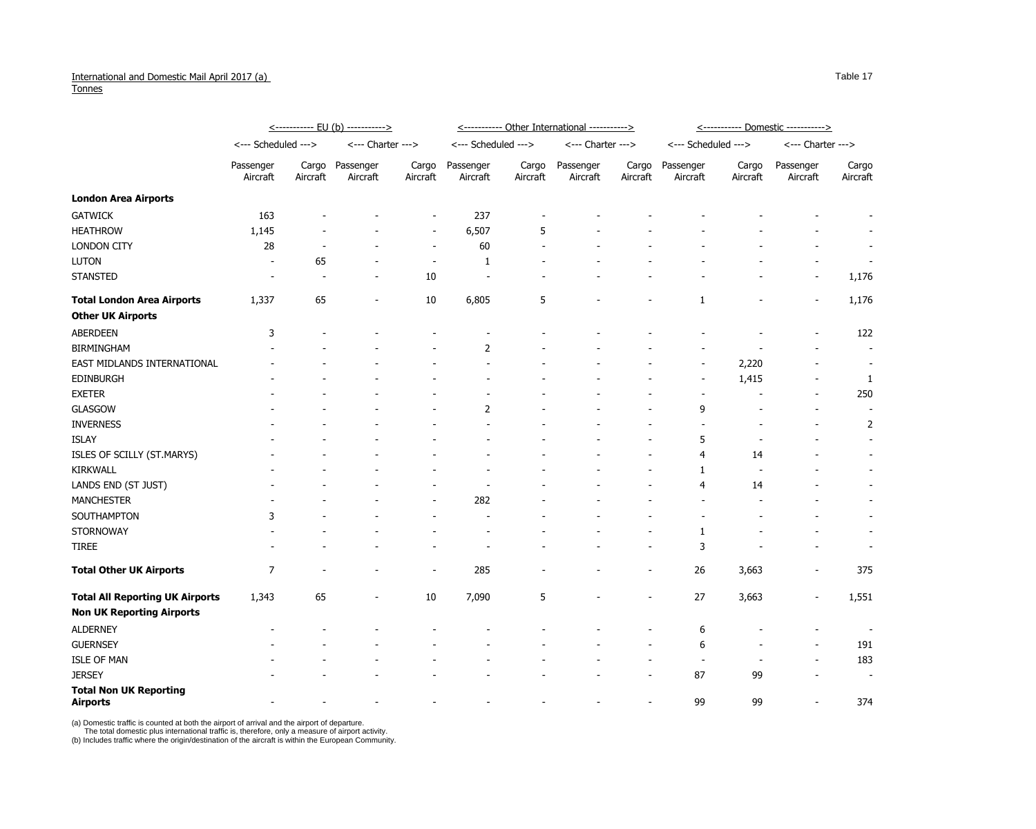## International and Domestic Mail April 2017 (a) **Tonnes**

|                                                  | <u>&lt;----------- EU (b) -----------&gt;</u> |                          |                          |                          | <u>&lt;-----------</u> Other International -----------> |                          |                          |                          | <u>&lt;----------- Domestic ----------&gt;</u> |                   |                          |                          |
|--------------------------------------------------|-----------------------------------------------|--------------------------|--------------------------|--------------------------|---------------------------------------------------------|--------------------------|--------------------------|--------------------------|------------------------------------------------|-------------------|--------------------------|--------------------------|
|                                                  | <--- Scheduled --->                           |                          | <--- Charter --->        |                          | <--- Scheduled --->                                     |                          | <--- Charter --->        |                          | <--- Scheduled --->                            |                   | <--- Charter --->        |                          |
|                                                  | Passenger<br>Aircraft                         | Cargo<br>Aircraft        | Passenger<br>Aircraft    | Cargo<br>Aircraft        | Passenger<br>Aircraft                                   | Cargo<br>Aircraft        | Passenger<br>Aircraft    | Cargo<br>Aircraft        | Passenger<br>Aircraft                          | Cargo<br>Aircraft | Passenger<br>Aircraft    | Cargo<br>Aircraft        |
| <b>London Area Airports</b>                      |                                               |                          |                          |                          |                                                         |                          |                          |                          |                                                |                   |                          |                          |
| <b>GATWICK</b>                                   | 163                                           |                          |                          |                          | 237                                                     |                          |                          |                          |                                                |                   |                          |                          |
| <b>HEATHROW</b>                                  | 1,145                                         |                          |                          | -                        | 6,507                                                   | 5                        |                          |                          |                                                |                   |                          |                          |
| <b>LONDON CITY</b>                               | 28                                            |                          |                          |                          | 60                                                      |                          |                          |                          |                                                |                   |                          |                          |
| <b>LUTON</b>                                     |                                               | 65                       |                          |                          | $\mathbf{1}$                                            |                          |                          |                          |                                                |                   |                          |                          |
| <b>STANSTED</b>                                  |                                               |                          |                          | 10                       |                                                         |                          |                          |                          |                                                |                   |                          | 1,176                    |
| <b>Total London Area Airports</b>                | 1,337                                         | 65                       | $\overline{\phantom{a}}$ | 10                       | 6,805                                                   | 5                        |                          |                          | 1                                              |                   |                          | 1,176                    |
| <b>Other UK Airports</b>                         |                                               |                          |                          |                          |                                                         |                          |                          |                          |                                                |                   |                          |                          |
| <b>ABERDEEN</b>                                  | 3                                             |                          |                          |                          |                                                         |                          |                          |                          |                                                |                   |                          | 122                      |
| <b>BIRMINGHAM</b>                                |                                               |                          |                          |                          | $\overline{2}$                                          |                          |                          |                          |                                                |                   |                          |                          |
| EAST MIDLANDS INTERNATIONAL                      |                                               |                          |                          |                          |                                                         |                          |                          |                          |                                                | 2,220             |                          |                          |
| <b>EDINBURGH</b>                                 |                                               |                          |                          |                          |                                                         |                          |                          |                          |                                                | 1,415             |                          |                          |
| <b>EXETER</b>                                    |                                               |                          |                          |                          |                                                         |                          |                          |                          |                                                |                   |                          | 250                      |
| <b>GLASGOW</b>                                   |                                               |                          |                          |                          | 2                                                       |                          |                          |                          | 9                                              |                   |                          |                          |
| <b>INVERNESS</b>                                 |                                               |                          |                          |                          |                                                         |                          |                          |                          |                                                |                   |                          |                          |
| <b>ISLAY</b>                                     |                                               |                          |                          |                          |                                                         |                          |                          |                          | 5                                              |                   |                          |                          |
| ISLES OF SCILLY (ST.MARYS)                       |                                               |                          |                          |                          |                                                         |                          |                          |                          | 4                                              | 14                |                          |                          |
| <b>KIRKWALL</b>                                  |                                               |                          |                          |                          |                                                         |                          |                          |                          |                                                |                   |                          |                          |
| LANDS END (ST JUST)                              |                                               |                          |                          |                          |                                                         |                          |                          |                          | 4                                              | 14                |                          |                          |
| <b>MANCHESTER</b>                                |                                               |                          |                          |                          | 282                                                     |                          |                          |                          |                                                |                   |                          |                          |
| SOUTHAMPTON                                      | 3                                             |                          |                          |                          |                                                         |                          |                          |                          |                                                |                   |                          |                          |
| <b>STORNOWAY</b>                                 |                                               |                          |                          |                          |                                                         |                          |                          |                          |                                                |                   |                          |                          |
| <b>TIREE</b>                                     |                                               |                          |                          |                          |                                                         |                          |                          |                          | 3                                              |                   |                          |                          |
| <b>Total Other UK Airports</b>                   | $\overline{7}$                                | $\overline{\phantom{a}}$ | $\overline{\phantom{a}}$ | $\overline{\phantom{a}}$ | 285                                                     | $\overline{\phantom{a}}$ |                          | $\overline{\phantom{a}}$ | 26                                             | 3,663             | $\overline{\phantom{a}}$ | 375                      |
| <b>Total All Reporting UK Airports</b>           | 1,343                                         | 65                       | $\blacksquare$           | 10                       | 7,090                                                   | 5                        |                          |                          | 27                                             | 3,663             |                          | 1,551                    |
| <b>Non UK Reporting Airports</b>                 |                                               |                          |                          |                          |                                                         |                          |                          |                          |                                                |                   |                          |                          |
| <b>ALDERNEY</b>                                  | $\overline{\phantom{a}}$                      |                          |                          |                          |                                                         |                          |                          |                          | 6                                              |                   | $\sim$                   | $\overline{\phantom{a}}$ |
| <b>GUERNSEY</b>                                  |                                               |                          |                          |                          |                                                         |                          |                          |                          | 6                                              |                   |                          | 191                      |
| <b>ISLE OF MAN</b>                               |                                               |                          |                          |                          |                                                         |                          |                          |                          |                                                |                   |                          | 183                      |
| <b>JERSEY</b>                                    |                                               |                          |                          |                          |                                                         |                          |                          |                          | 87                                             | 99                | $\overline{\phantom{a}}$ | $\overline{\phantom{a}}$ |
| <b>Total Non UK Reporting</b><br><b>Airports</b> |                                               |                          | $\overline{\phantom{a}}$ |                          |                                                         | $\overline{\phantom{a}}$ | $\overline{\phantom{a}}$ |                          | 99                                             | 99                |                          | 374                      |

(a) Domestic traffic is counted at both the airport of arrival and the airport of departure.

The total domestic plus international traffic is, therefore, only a measure of airport activity.

(b) Includes traffic where the origin/destination of the aircraft is within the European Community.